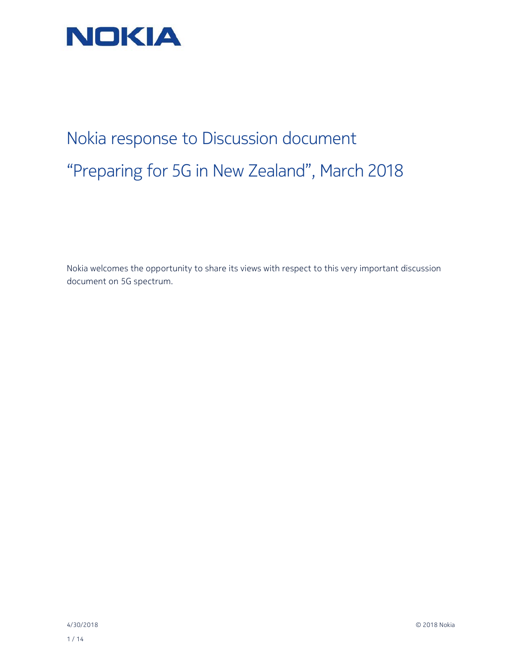

## Nokia response to Discussion document "Preparing for 5G in New Zealand", March 2018

Nokia welcomes the opportunity to share its views with respect to this very important discussion document on 5G spectrum.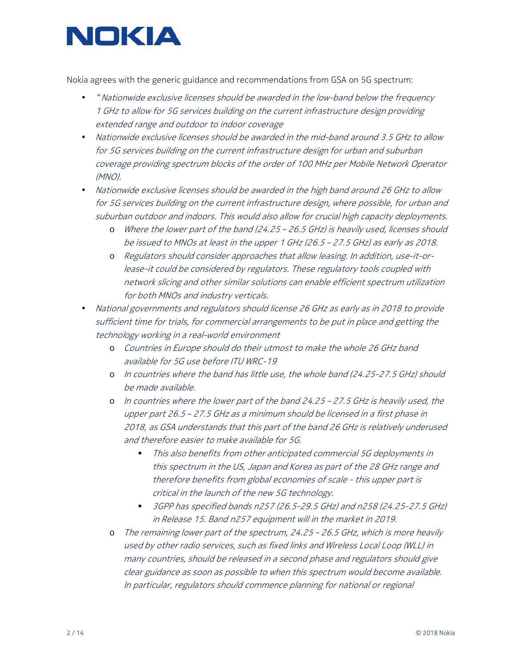

Nokia agrees with the generic guidance and recommendations from GSA on 5G spectrum:

- " Nationwide exclusive licenses should be awarded in the low-band below the frequency 1 GHz to allow for 5G services building on the current infrastructure design providing extended range and outdoor to indoor coverage
- Nationwide exclusive licenses should be awarded in the mid-band around 3.5 GHz to allow for 5G services building on the current infrastructure design for urban and suburban coverage providing spectrum blocks of the order of 100 MHz per Mobile Network Operator (MNO).
- Nationwide exclusive licenses should be awarded in the high band around 26 GHz to allow for 5G services building on the current infrastructure design, where possible, for urban and suburban outdoor and indoors. This would also allow for crucial high capacity deployments.
	- o Where the lower part of the band (24.25 26.5 GHz) is heavily used, licenses should be issued to MNOs at least in the upper 1 GHz (26.5 – 27.5 GHz) as early as 2018.
	- o Regulators should consider approaches that allow leasing. In addition, use-it-orlease-it could be considered by regulators. These regulatory tools coupled with network slicing and other similar solutions can enable efficient spectrum utilization for both MNOs and industry verticals.
- National governments and regulators should license 26 GHz as early as in 2018 to provide sufficient time for trials, for commercial arrangements to be put in place and getting the technology working in a real-world environment
	- o Countries in Europe should do their utmost to make the whole 26 GHz band available for 5G use before ITU WRC-19
	- o In countries where the band has little use, the whole band (24.25-27.5 GHz) should be made available.
	- o In countries where the lower part of the band 24.25 27.5 GHz is heavily used, the upper part 26.5 – 27.5 GHz as a minimum should be licensed in a first phase in 2018, as GSA understands that this part of the band 26 GHz is relatively underused and therefore easier to make available for 5G.
		- This also benefits from other anticipated commercial 5G deployments in this spectrum in the US, Japan and Korea as part of the 28 GHz range and therefore benefits from global economies of scale - this upper part is critical in the launch of the new 5G technology.
		- 3GPP has specified bands n257 (26.5-29.5 GHz) and n258 (24.25-27.5 GHz) in Release 15. Band n257 equipment will in the market in 2019.
	- The remaining lower part of the spectrum, 24.25 26.5 GHz, which is more heavily used by other radio services, such as fixed links and Wireless Local Loop (WLL) in many countries, should be released in a second phase and regulators should give clear guidance as soon as possible to when this spectrum would become available. In particular, regulators should commence planning for national or regional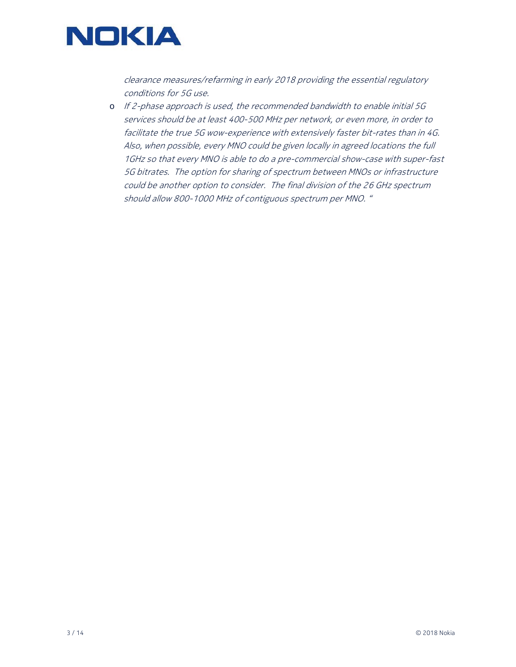

clearance measures/refarming in early 2018 providing the essential regulatory conditions for 5G use.

o If 2-phase approach is used, the recommended bandwidth to enable initial 5G services should be at least 400-500 MHz per network, or even more, in order to facilitate the true 5G wow-experience with extensively faster bit-rates than in 4G. Also, when possible, every MNO could be given locally in agreed locations the full 1GHz so that every MNO is able to do a pre-commercial show-case with super-fast 5G bitrates. The option for sharing of spectrum between MNOs or infrastructure could be another option to consider. The final division of the 26 GHz spectrum should allow 800-1000 MHz of contiguous spectrum per MNO. "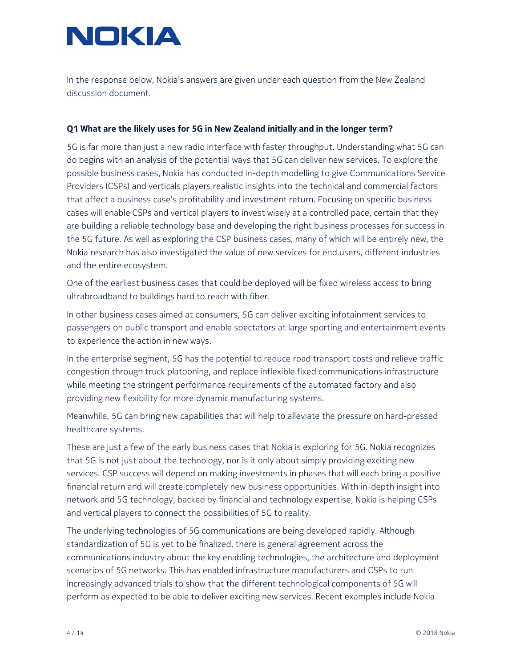

In the response below, Nokia's answers are given under each question from the New Zealand discussion document.

### **Q1 What are the likely uses for 5G in New Zealand initially and in the longer term?**

5G is far more than just a new radio interface with faster throughput. Understanding what 5G can do begins with an analysis of the potential ways that 5G can deliver new services. To explore the possible business cases, Nokia has conducted in-depth modelling to give Communications Service Providers (CSPs) and verticals players realistic insights into the technical and commercial factors that affect a business case's profitability and investment return. Focusing on specific business cases will enable CSPs and vertical players to invest wisely at a controlled pace, certain that they are building a reliable technology base and developing the right business processes for success in the 5G future. As well as exploring the CSP business cases, many of which will be entirely new, the Nokia research has also investigated the value of new services for end users, different industries and the entire ecosystem.

One of the earliest business cases that could be deployed will be fixed wireless access to bring ultrabroadband to buildings hard to reach with fiber.

In other business cases aimed at consumers, 5G can deliver exciting infotainment services to passengers on public transport and enable spectators at large sporting and entertainment events to experience the action in new ways.

In the enterprise segment, 5G has the potential to reduce road transport costs and relieve traffic congestion through truck platooning, and replace inflexible fixed communications infrastructure while meeting the stringent performance requirements of the automated factory and also providing new flexibility for more dynamic manufacturing systems.

Meanwhile, 5G can bring new capabilities that will help to alleviate the pressure on hard-pressed healthcare systems.

These are just a few of the early business cases that Nokia is exploring for 5G. Nokia recognizes that 5G is not just about the technology, nor is it only about simply providing exciting new services. CSP success will depend on making investments in phases that will each bring a positive financial return and will create completely new business opportunities. With in-depth insight into network and 5G technology, backed by financial and technology expertise, Nokia is helping CSPs and vertical players to connect the possibilities of 5G to reality.

The underlying technologies of 5G communications are being developed rapidly. Although standardization of 5G is yet to be finalized, there is general agreement across the communications industry about the key enabling technologies, the architecture and deployment scenarios of 5G networks. This has enabled infrastructure manufacturers and CSPs to run increasingly advanced trials to show that the different technological components of 5G will perform as expected to be able to deliver exciting new services. Recent examples include Nokia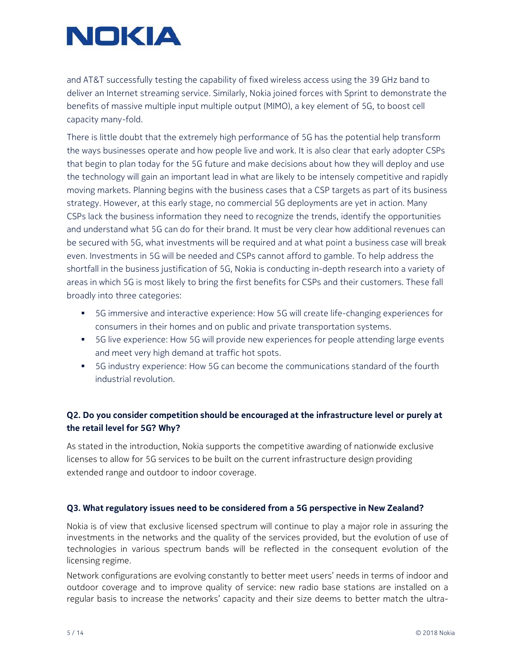# NOKIA

and AT&T successfully testing the capability of fixed wireless access using the 39 GHz band to deliver an Internet streaming service. Similarly, Nokia joined forces with Sprint to demonstrate the benefits of massive multiple input multiple output (MIMO), a key element of 5G, to boost cell capacity many-fold.

There is little doubt that the extremely high performance of 5G has the potential help transform the ways businesses operate and how people live and work. It is also clear that early adopter CSPs that begin to plan today for the 5G future and make decisions about how they will deploy and use the technology will gain an important lead in what are likely to be intensely competitive and rapidly moving markets. Planning begins with the business cases that a CSP targets as part of its business strategy. However, at this early stage, no commercial 5G deployments are yet in action. Many CSPs lack the business information they need to recognize the trends, identify the opportunities and understand what 5G can do for their brand. It must be very clear how additional revenues can be secured with 5G, what investments will be required and at what point a business case will break even. Investments in 5G will be needed and CSPs cannot afford to gamble. To help address the shortfall in the business justification of 5G, Nokia is conducting in-depth research into a variety of areas in which 5G is most likely to bring the first benefits for CSPs and their customers. These fall broadly into three categories:

- 5G immersive and interactive experience: How 5G will create life-changing experiences for consumers in their homes and on public and private transportation systems.
- 5G live experience: How 5G will provide new experiences for people attending large events and meet very high demand at traffic hot spots.
- 5G industry experience: How 5G can become the communications standard of the fourth industrial revolution.

## **Q2. Do you consider competition should be encouraged at the infrastructure level or purely at the retail level for 5G? Why?**

As stated in the introduction, Nokia supports the competitive awarding of nationwide exclusive licenses to allow for 5G services to be built on the current infrastructure design providing extended range and outdoor to indoor coverage.

## **Q3. What regulatory issues need to be considered from a 5G perspective in New Zealand?**

Nokia is of view that exclusive licensed spectrum will continue to play a major role in assuring the investments in the networks and the quality of the services provided, but the evolution of use of technologies in various spectrum bands will be reflected in the consequent evolution of the licensing regime.

Network configurations are evolving constantly to better meet users' needs in terms of indoor and outdoor coverage and to improve quality of service: new radio base stations are installed on a regular basis to increase the networks' capacity and their size deems to better match the ultra-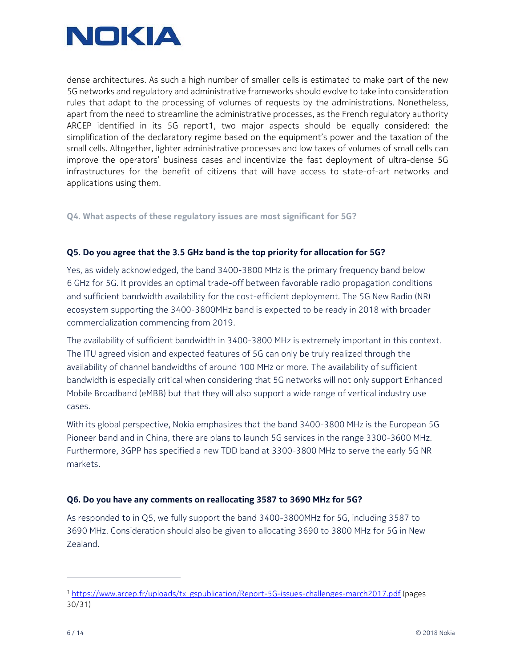

dense architectures. As such a high number of smaller cells is estimated to make part of the new 5G networks and regulatory and administrative frameworks should evolve to take into consideration rules that adapt to the processing of volumes of requests by the administrations. Nonetheless, apart from the need to streamline the administrative processes, as the French regulatory authority ARCEP identified in its 5G report1, two major aspects should be equally considered: the simplification of the declaratory regime based on the equipment's power and the taxation of the small cells. Altogether, lighter administrative processes and low taxes of volumes of small cells can improve the operators' business cases and incentivize the fast deployment of ultra-dense 5G infrastructures for the benefit of citizens that will have access to state-of-art networks and applications using them.

## **Q4. What aspects of these regulatory issues are most significant for 5G?**

## **Q5. Do you agree that the 3.5 GHz band is the top priority for allocation for 5G?**

Yes, as widely acknowledged, the band 3400-3800 MHz is the primary frequency band below 6 GHz for 5G. It provides an optimal trade-off between favorable radio propagation conditions and sufficient bandwidth availability for the cost-efficient deployment. The 5G New Radio (NR) ecosystem supporting the 3400-3800MHz band is expected to be ready in 2018 with broader commercialization commencing from 2019.

The availability of sufficient bandwidth in 3400-3800 MHz is extremely important in this context. The ITU agreed vision and expected features of 5G can only be truly realized through the availability of channel bandwidths of around 100 MHz or more. The availability of sufficient bandwidth is especially critical when considering that 5G networks will not only support Enhanced Mobile Broadband (eMBB) but that they will also support a wide range of vertical industry use cases.

With its global perspective, Nokia emphasizes that the band 3400-3800 MHz is the European 5G Pioneer band and in China, there are plans to launch 5G services in the range 3300-3600 MHz. Furthermore, 3GPP has specified a new TDD band at 3300-3800 MHz to serve the early 5G NR markets.

### **Q6. Do you have any comments on reallocating 3587 to 3690 MHz for 5G?**

As responded to in Q5, we fully support the band 3400-3800MHz for 5G, including 3587 to 3690 MHz. Consideration should also be given to allocating 3690 to 3800 MHz for 5G in New Zealand.

-

<sup>1</sup> https://www.arcep.fr/uploads/tx\_gspublication/Report-5G-issues-challenges-march2017.pdf (pages 30/31)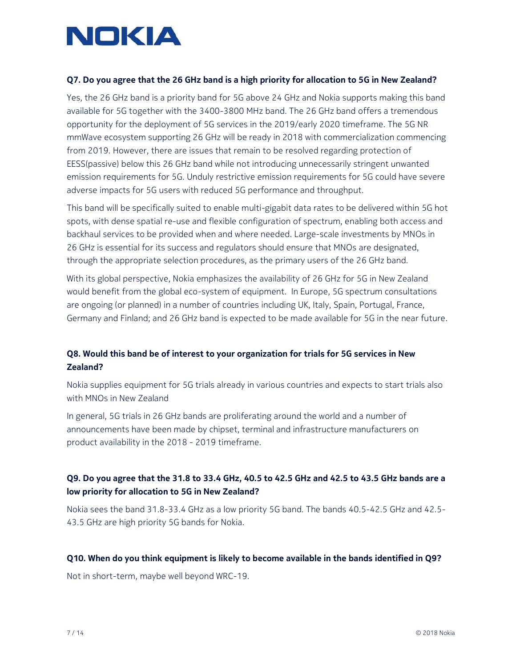

### **Q7. Do you agree that the 26 GHz band is a high priority for allocation to 5G in New Zealand?**

Yes, the 26 GHz band is a priority band for 5G above 24 GHz and Nokia supports making this band available for 5G together with the 3400-3800 MHz band. The 26 GHz band offers a tremendous opportunity for the deployment of 5G services in the 2019/early 2020 timeframe. The 5G NR mmWave ecosystem supporting 26 GHz will be ready in 2018 with commercialization commencing from 2019. However, there are issues that remain to be resolved regarding protection of EESS(passive) below this 26 GHz band while not introducing unnecessarily stringent unwanted emission requirements for 5G. Unduly restrictive emission requirements for 5G could have severe adverse impacts for 5G users with reduced 5G performance and throughput.

This band will be specifically suited to enable multi-gigabit data rates to be delivered within 5G hot spots, with dense spatial re-use and flexible configuration of spectrum, enabling both access and backhaul services to be provided when and where needed. Large-scale investments by MNOs in 26 GHz is essential for its success and regulators should ensure that MNOs are designated, through the appropriate selection procedures, as the primary users of the 26 GHz band.

With its global perspective, Nokia emphasizes the availability of 26 GHz for 5G in New Zealand would benefit from the global eco-system of equipment. In Europe, 5G spectrum consultations are ongoing (or planned) in a number of countries including UK, Italy, Spain, Portugal, France, Germany and Finland; and 26 GHz band is expected to be made available for 5G in the near future.

## **Q8. Would this band be of interest to your organization for trials for 5G services in New Zealand?**

Nokia supplies equipment for 5G trials already in various countries and expects to start trials also with MNOs in New Zealand

In general, 5G trials in 26 GHz bands are proliferating around the world and a number of announcements have been made by chipset, terminal and infrastructure manufacturers on product availability in the 2018 - 2019 timeframe.

## **Q9. Do you agree that the 31.8 to 33.4 GHz, 40.5 to 42.5 GHz and 42.5 to 43.5 GHz bands are a low priority for allocation to 5G in New Zealand?**

Nokia sees the band 31.8-33.4 GHz as a low priority 5G band. The bands 40.5-42.5 GHz and 42.5- 43.5 GHz are high priority 5G bands for Nokia.

### **Q10. When do you think equipment is likely to become available in the bands identified in Q9?**

Not in short-term, maybe well beyond WRC-19.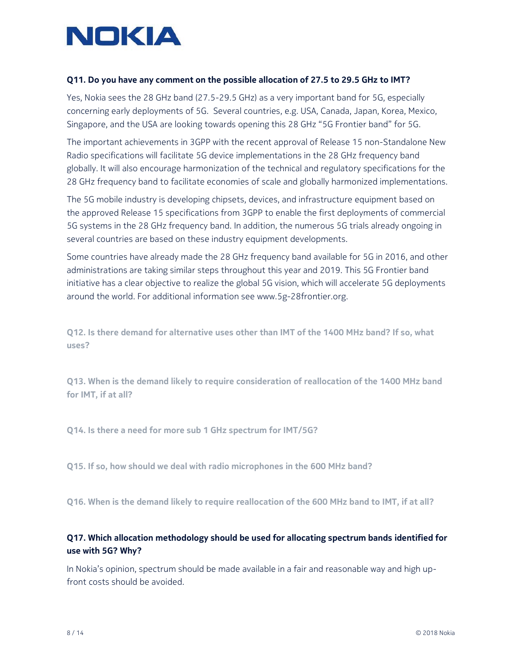

### **Q11. Do you have any comment on the possible allocation of 27.5 to 29.5 GHz to IMT?**

Yes, Nokia sees the 28 GHz band (27.5-29.5 GHz) as a very important band for 5G, especially concerning early deployments of 5G. Several countries, e.g. USA, Canada, Japan, Korea, Mexico, Singapore, and the USA are looking towards opening this 28 GHz "5G Frontier band" for 5G.

The important achievements in 3GPP with the recent approval of Release 15 non-Standalone New Radio specifications will facilitate 5G device implementations in the 28 GHz frequency band globally. It will also encourage harmonization of the technical and regulatory specifications for the 28 GHz frequency band to facilitate economies of scale and globally harmonized implementations.

The 5G mobile industry is developing chipsets, devices, and infrastructure equipment based on the approved Release 15 specifications from 3GPP to enable the first deployments of commercial 5G systems in the 28 GHz frequency band. In addition, the numerous 5G trials already ongoing in several countries are based on these industry equipment developments.

Some countries have already made the 28 GHz frequency band available for 5G in 2016, and other administrations are taking similar steps throughout this year and 2019. This 5G Frontier band initiative has a clear objective to realize the global 5G vision, which will accelerate 5G deployments around the world. For additional information see www.5g-28frontier.org.

**Q12. Is there demand for alternative uses other than IMT of the 1400 MHz band? If so, what uses?** 

**Q13. When is the demand likely to require consideration of reallocation of the 1400 MHz band for IMT, if at all?** 

**Q14. Is there a need for more sub 1 GHz spectrum for IMT/5G?** 

**Q15. If so, how should we deal with radio microphones in the 600 MHz band?** 

**Q16. When is the demand likely to require reallocation of the 600 MHz band to IMT, if at all?** 

## **Q17. Which allocation methodology should be used for allocating spectrum bands identified for use with 5G? Why?**

In Nokia's opinion, spectrum should be made available in a fair and reasonable way and high upfront costs should be avoided.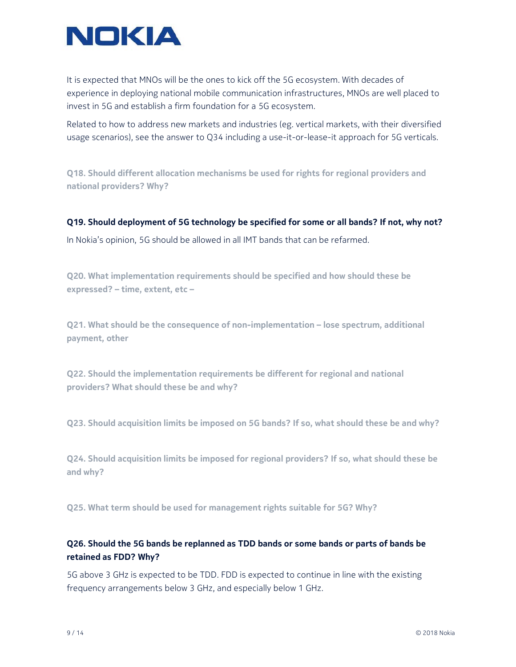

It is expected that MNOs will be the ones to kick off the 5G ecosystem. With decades of experience in deploying national mobile communication infrastructures, MNOs are well placed to invest in 5G and establish a firm foundation for a 5G ecosystem.

Related to how to address new markets and industries (eg. vertical markets, with their diversified usage scenarios), see the answer to Q34 including a use-it-or-lease-it approach for 5G verticals.

**Q18. Should different allocation mechanisms be used for rights for regional providers and national providers? Why?** 

**Q19. Should deployment of 5G technology be specified for some or all bands? If not, why not?** 

In Nokia's opinion, 5G should be allowed in all IMT bands that can be refarmed.

**Q20. What implementation requirements should be specified and how should these be expressed? – time, extent, etc –** 

**Q21. What should be the consequence of non-implementation – lose spectrum, additional payment, other** 

**Q22. Should the implementation requirements be different for regional and national providers? What should these be and why?** 

**Q23. Should acquisition limits be imposed on 5G bands? If so, what should these be and why?** 

**Q24. Should acquisition limits be imposed for regional providers? If so, what should these be and why?** 

**Q25. What term should be used for management rights suitable for 5G? Why?** 

## **Q26. Should the 5G bands be replanned as TDD bands or some bands or parts of bands be retained as FDD? Why?**

5G above 3 GHz is expected to be TDD. FDD is expected to continue in line with the existing frequency arrangements below 3 GHz, and especially below 1 GHz.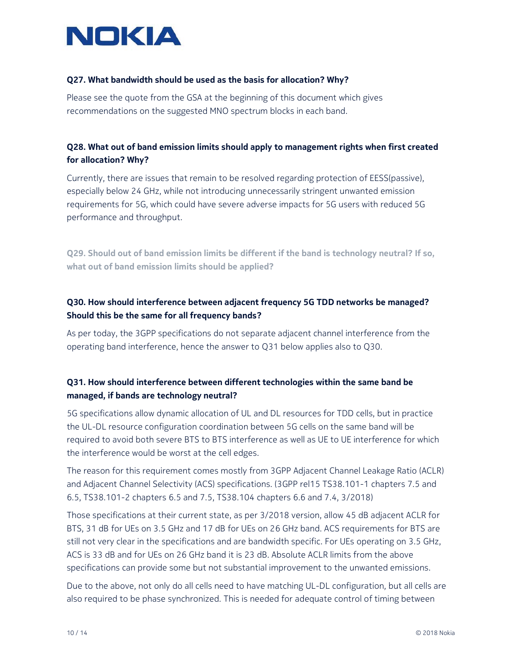

## **Q27. What bandwidth should be used as the basis for allocation? Why?**

Please see the quote from the GSA at the beginning of this document which gives recommendations on the suggested MNO spectrum blocks in each band.

## **Q28. What out of band emission limits should apply to management rights when first created for allocation? Why?**

Currently, there are issues that remain to be resolved regarding protection of EESS(passive), especially below 24 GHz, while not introducing unnecessarily stringent unwanted emission requirements for 5G, which could have severe adverse impacts for 5G users with reduced 5G performance and throughput.

**Q29. Should out of band emission limits be different if the band is technology neutral? If so, what out of band emission limits should be applied?** 

## **Q30. How should interference between adjacent frequency 5G TDD networks be managed? Should this be the same for all frequency bands?**

As per today, the 3GPP specifications do not separate adjacent channel interference from the operating band interference, hence the answer to Q31 below applies also to Q30.

## **Q31. How should interference between different technologies within the same band be managed, if bands are technology neutral?**

5G specifications allow dynamic allocation of UL and DL resources for TDD cells, but in practice the UL-DL resource configuration coordination between 5G cells on the same band will be required to avoid both severe BTS to BTS interference as well as UE to UE interference for which the interference would be worst at the cell edges.

The reason for this requirement comes mostly from 3GPP Adjacent Channel Leakage Ratio (ACLR) and Adjacent Channel Selectivity (ACS) specifications. (3GPP rel15 TS38.101-1 chapters 7.5 and 6.5, TS38.101-2 chapters 6.5 and 7.5, TS38.104 chapters 6.6 and 7.4, 3/2018)

Those specifications at their current state, as per 3/2018 version, allow 45 dB adjacent ACLR for BTS, 31 dB for UEs on 3.5 GHz and 17 dB for UEs on 26 GHz band. ACS requirements for BTS are still not very clear in the specifications and are bandwidth specific. For UEs operating on 3.5 GHz, ACS is 33 dB and for UEs on 26 GHz band it is 23 dB. Absolute ACLR limits from the above specifications can provide some but not substantial improvement to the unwanted emissions.

Due to the above, not only do all cells need to have matching UL-DL configuration, but all cells are also required to be phase synchronized. This is needed for adequate control of timing between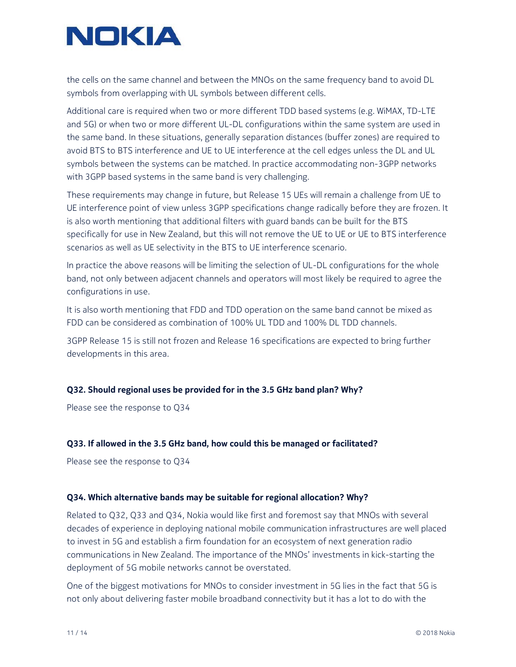

the cells on the same channel and between the MNOs on the same frequency band to avoid DL symbols from overlapping with UL symbols between different cells.

Additional care is required when two or more different TDD based systems (e.g. WiMAX, TD-LTE and 5G) or when two or more different UL-DL configurations within the same system are used in the same band. In these situations, generally separation distances (buffer zones) are required to avoid BTS to BTS interference and UE to UE interference at the cell edges unless the DL and UL symbols between the systems can be matched. In practice accommodating non-3GPP networks with 3GPP based systems in the same band is very challenging.

These requirements may change in future, but Release 15 UEs will remain a challenge from UE to UE interference point of view unless 3GPP specifications change radically before they are frozen. It is also worth mentioning that additional filters with guard bands can be built for the BTS specifically for use in New Zealand, but this will not remove the UE to UE or UE to BTS interference scenarios as well as UE selectivity in the BTS to UE interference scenario.

In practice the above reasons will be limiting the selection of UL-DL configurations for the whole band, not only between adjacent channels and operators will most likely be required to agree the configurations in use.

It is also worth mentioning that FDD and TDD operation on the same band cannot be mixed as FDD can be considered as combination of 100% UL TDD and 100% DL TDD channels.

3GPP Release 15 is still not frozen and Release 16 specifications are expected to bring further developments in this area.

### **Q32. Should regional uses be provided for in the 3.5 GHz band plan? Why?**

Please see the response to Q34

### **Q33. If allowed in the 3.5 GHz band, how could this be managed or facilitated?**

Please see the response to Q34

### **Q34. Which alternative bands may be suitable for regional allocation? Why?**

Related to Q32, Q33 and Q34, Nokia would like first and foremost say that MNOs with several decades of experience in deploying national mobile communication infrastructures are well placed to invest in 5G and establish a firm foundation for an ecosystem of next generation radio communications in New Zealand. The importance of the MNOs' investments in kick-starting the deployment of 5G mobile networks cannot be overstated.

One of the biggest motivations for MNOs to consider investment in 5G lies in the fact that 5G is not only about delivering faster mobile broadband connectivity but it has a lot to do with the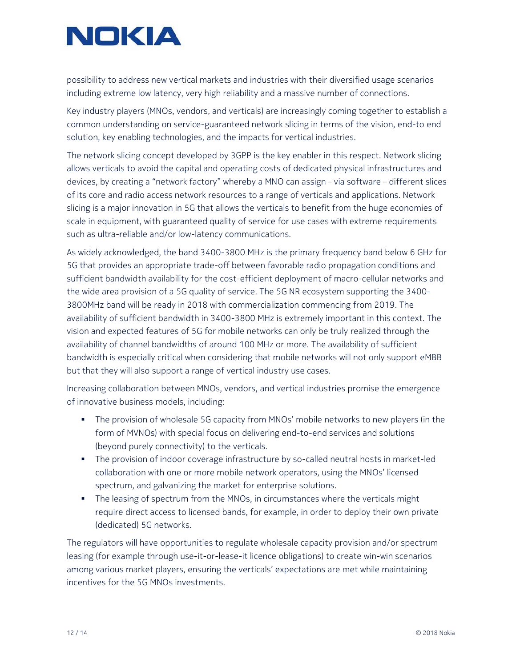

possibility to address new vertical markets and industries with their diversified usage scenarios including extreme low latency, very high reliability and a massive number of connections.

Key industry players (MNOs, vendors, and verticals) are increasingly coming together to establish a common understanding on service-guaranteed network slicing in terms of the vision, end-to end solution, key enabling technologies, and the impacts for vertical industries.

The network slicing concept developed by 3GPP is the key enabler in this respect. Network slicing allows verticals to avoid the capital and operating costs of dedicated physical infrastructures and devices, by creating a "network factory" whereby a MNO can assign – via software – different slices of its core and radio access network resources to a range of verticals and applications. Network slicing is a major innovation in 5G that allows the verticals to benefit from the huge economies of scale in equipment, with guaranteed quality of service for use cases with extreme requirements such as ultra-reliable and/or low-latency communications.

As widely acknowledged, the band 3400-3800 MHz is the primary frequency band below 6 GHz for 5G that provides an appropriate trade-off between favorable radio propagation conditions and sufficient bandwidth availability for the cost-efficient deployment of macro-cellular networks and the wide area provision of a 5G quality of service. The 5G NR ecosystem supporting the 3400- 3800MHz band will be ready in 2018 with commercialization commencing from 2019. The availability of sufficient bandwidth in 3400-3800 MHz is extremely important in this context. The vision and expected features of 5G for mobile networks can only be truly realized through the availability of channel bandwidths of around 100 MHz or more. The availability of sufficient bandwidth is especially critical when considering that mobile networks will not only support eMBB but that they will also support a range of vertical industry use cases.

Increasing collaboration between MNOs, vendors, and vertical industries promise the emergence of innovative business models, including:

- The provision of wholesale 5G capacity from MNOs' mobile networks to new players (in the form of MVNOs) with special focus on delivering end-to-end services and solutions (beyond purely connectivity) to the verticals.
- The provision of indoor coverage infrastructure by so-called neutral hosts in market-led collaboration with one or more mobile network operators, using the MNOs' licensed spectrum, and galvanizing the market for enterprise solutions.
- The leasing of spectrum from the MNOs, in circumstances where the verticals might require direct access to licensed bands, for example, in order to deploy their own private (dedicated) 5G networks.

The regulators will have opportunities to regulate wholesale capacity provision and/or spectrum leasing (for example through use-it-or-lease-it licence obligations) to create win-win scenarios among various market players, ensuring the verticals' expectations are met while maintaining incentives for the 5G MNOs investments.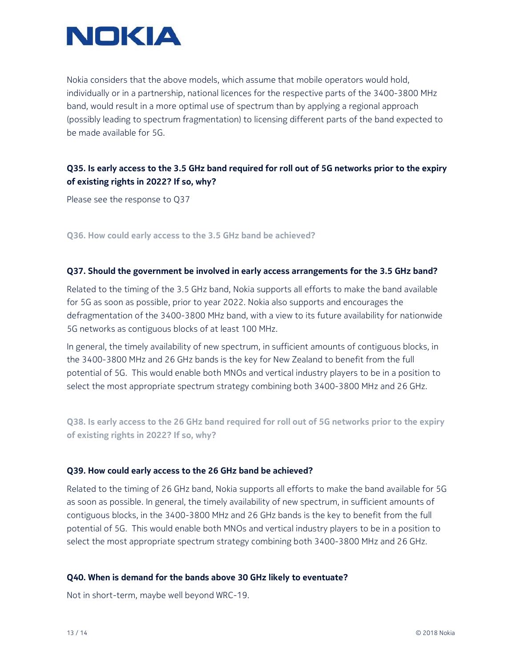

Nokia considers that the above models, which assume that mobile operators would hold, individually or in a partnership, national licences for the respective parts of the 3400-3800 MHz band, would result in a more optimal use of spectrum than by applying a regional approach (possibly leading to spectrum fragmentation) to licensing different parts of the band expected to be made available for 5G.

## **Q35. Is early access to the 3.5 GHz band required for roll out of 5G networks prior to the expiry of existing rights in 2022? If so, why?**

Please see the response to Q37

**Q36. How could early access to the 3.5 GHz band be achieved?** 

### **Q37. Should the government be involved in early access arrangements for the 3.5 GHz band?**

Related to the timing of the 3.5 GHz band, Nokia supports all efforts to make the band available for 5G as soon as possible, prior to year 2022. Nokia also supports and encourages the defragmentation of the 3400-3800 MHz band, with a view to its future availability for nationwide 5G networks as contiguous blocks of at least 100 MHz.

In general, the timely availability of new spectrum, in sufficient amounts of contiguous blocks, in the 3400-3800 MHz and 26 GHz bands is the key for New Zealand to benefit from the full potential of 5G. This would enable both MNOs and vertical industry players to be in a position to select the most appropriate spectrum strategy combining both 3400-3800 MHz and 26 GHz.

**Q38. Is early access to the 26 GHz band required for roll out of 5G networks prior to the expiry of existing rights in 2022? If so, why?** 

### **Q39. How could early access to the 26 GHz band be achieved?**

Related to the timing of 26 GHz band, Nokia supports all efforts to make the band available for 5G as soon as possible. In general, the timely availability of new spectrum, in sufficient amounts of contiguous blocks, in the 3400-3800 MHz and 26 GHz bands is the key to benefit from the full potential of 5G. This would enable both MNOs and vertical industry players to be in a position to select the most appropriate spectrum strategy combining both 3400-3800 MHz and 26 GHz.

#### **Q40. When is demand for the bands above 30 GHz likely to eventuate?**

Not in short-term, maybe well beyond WRC-19.